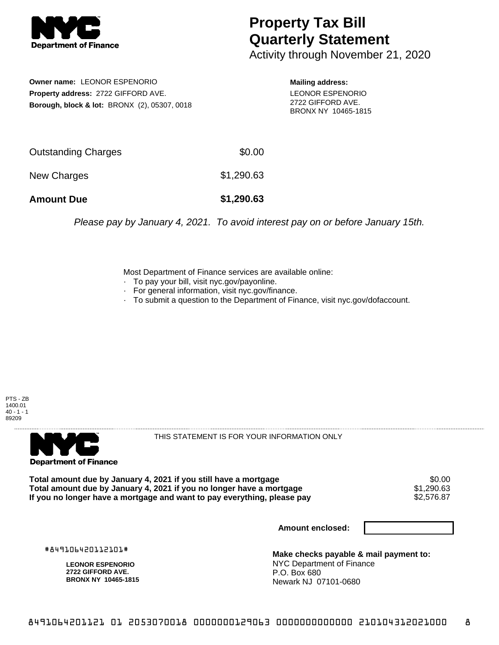

## **Property Tax Bill Quarterly Statement**

Activity through November 21, 2020

**Owner name:** LEONOR ESPENORIO **Property address:** 2722 GIFFORD AVE. **Borough, block & lot:** BRONX (2), 05307, 0018

**Mailing address:** LEONOR ESPENORIO 2722 GIFFORD AVE. BRONX NY 10465-1815

| <b>Amount Due</b>   | \$1,290.63 |
|---------------------|------------|
| New Charges         | \$1,290.63 |
| Outstanding Charges | \$0.00     |

Please pay by January 4, 2021. To avoid interest pay on or before January 15th.

Most Department of Finance services are available online:

- · To pay your bill, visit nyc.gov/payonline.
- For general information, visit nyc.gov/finance.
- · To submit a question to the Department of Finance, visit nyc.gov/dofaccount.





THIS STATEMENT IS FOR YOUR INFORMATION ONLY

Total amount due by January 4, 2021 if you still have a mortgage \$0.00<br>Total amount due by January 4, 2021 if you no longer have a mortgage \$1.290.63 **Total amount due by January 4, 2021 if you no longer have a mortgage**  $$1,290.63$ **<br>If you no longer have a mortgage and want to pay everything, please pay**  $$2,576.87$ If you no longer have a mortgage and want to pay everything, please pay

**Amount enclosed:**

#849106420112101#

**LEONOR ESPENORIO 2722 GIFFORD AVE. BRONX NY 10465-1815**

**Make checks payable & mail payment to:** NYC Department of Finance P.O. Box 680 Newark NJ 07101-0680